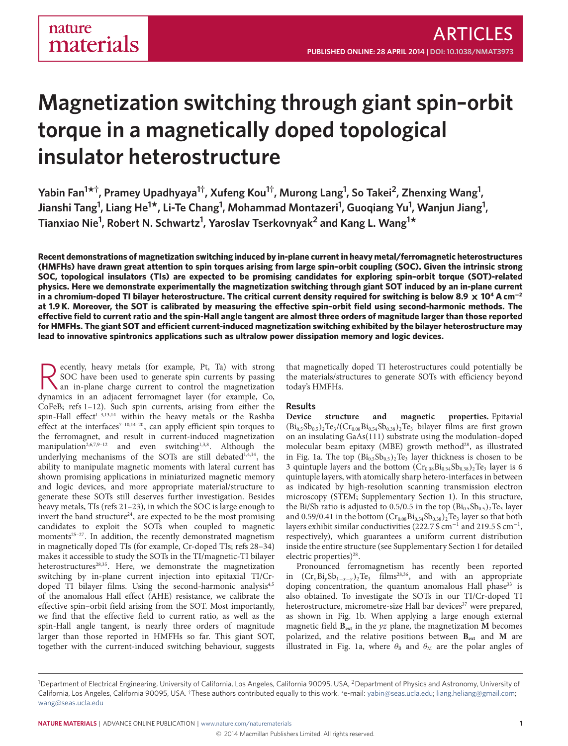# **Magnetization switching through giant spin–orbit torque in a magnetically doped topological insulator heterostructure**

Yabin Fan<sup>1\*†</sup>, Pramey Upadhyaya<sup>1†</sup>, Xufeng Kou<sup>1†</sup>, Murong Lang<sup>1</sup>, So Takei<sup>2</sup>, Zhenxing Wang<sup>1</sup>, **Jianshi Tang1 , Liang He<sup>1</sup> \*, Li-Te Chang<sup>1</sup> , Mohammad Montazeri<sup>1</sup> , Guoqiang Yu1 , Wanjun Jiang<sup>1</sup> , Tianxiao Nie<sup>1</sup> , Robert N. Schwartz<sup>1</sup> , Yaroslav Tserkovnyak<sup>2</sup> and Kang L. Wang<sup>1</sup> \***

**Recent demonstrations of magnetization switching induced by in-plane current in heavy metal/ferromagnetic heterostructures (HMFHs) have drawn great attention to spin torques arising from large spin–orbit coupling (SOC). Given the intrinsic strong SOC, topological insulators (TIs) are expected to be promising candidates for exploring spin–orbit torque (SOT)-related physics. Here we demonstrate experimentally the magnetization switching through giant SOT induced by an in-plane current in a chromium-doped TI bilayer heterostructure. The critical current density required for switching is below 8.9** × **10<sup>4</sup> A cm**−**<sup>2</sup>** at 1.9 K. Moreover, the SOT is calibrated by measuring the effective spin-orbit field using second-harmonic methods. The effective field to current ratio and the spin-Hall angle tangent are almost three orders of magnitude larger than those reported for HMFHs. The giant SOT and efficient current-induced magnetization switching exhibited by the bilayer heterostructure may **lead to innovative spintronics applications such as ultralow power dissipation memory and logic devices.**

**R** ecently, heavy metals (for example, Pt, Ta) with strong SOC have been used to generate spin currents by passing an in-plane charge current to control the magnetization dynamics in an adjacent ferromagnet layer (for exa ecently, heavy metals (for example, Pt, Ta) with strong SOC have been used to generate spin currents by passing an in-plane charge current to control the magnetization CoFeB; refs [1–](#page-4-0)[12\)](#page-5-0). Such spin currents, arising from either the spin-Hall effect<sup>1-[3,](#page-4-1)[13](#page-5-1)[,14](#page-5-2)</sup> within the heavy metals or the Rashba effect at the interfaces<sup>[7](#page-5-3)-10,[14](#page-5-2)-20</sup>, can apply efficient spin torques to the ferromagnet, and result in current-induced magnetization manipulation<sup>[2,](#page-4-2)[6,](#page-5-6)[7,](#page-5-3)[9](#page-5-7)-12</sup> and even switching<sup>[1,](#page-4-0)[3,](#page-4-1)[8](#page-5-8)</sup>. Although the underlying mechanisms of the SOTs are still debated<sup>[1](#page-4-0)[,4](#page-4-3)[,14](#page-5-2)</sup>, the ability to manipulate magnetic moments with lateral current has shown promising applications in miniaturized magnetic memory and logic devices, and more appropriate material/structure to generate these SOTs still deserves further investigation. Besides heavy metals, TIs (refs [21–](#page-5-9)[23\)](#page-5-10), in which the SOC is large enough to invert the band structure<sup>[24](#page-5-11)</sup>, are expected to be the most promising candidates to exploit the SOTs when coupled to magnetic moments<sup>25-[27](#page-5-13)</sup>. In addition, the recently demonstrated magnetism in magnetically doped TIs (for example, Cr-doped TIs; refs [28](#page-5-14)[–34\)](#page-5-15) makes it accessible to study the SOTs in the TI/magnetic-TI bilayer heterostructures<sup>[28,](#page-5-14)[35](#page-5-16)</sup>. Here, we demonstrate the magnetization switching by in-plane current injection into epitaxial TI/Cr-doped TI bilayer films. Using the second-harmonic analysis<sup>[4,](#page-4-3)[5](#page-4-4)</sup> of the anomalous Hall effect (AHE) resistance, we calibrate the effective spin–orbit field arising from the SOT. Most importantly, we find that the effective field to current ratio, as well as the spin-Hall angle tangent, is nearly three orders of magnitude larger than those reported in HMFHs so far. This giant SOT, together with the current-induced switching behaviour, suggests

that magnetically doped TI heterostructures could potentially be the materials/structures to generate SOTs with efficiency beyond today's HMFHs.

#### **Results**

**Device structure and magnetic properties.** Epitaxial  $(Bi_{0.5}Sb_{0.5})$ <sub>2</sub>Te<sub>3</sub>/(Cr<sub>0.08</sub>Bi<sub>0.54</sub>Sb<sub>0.38</sub>)<sub>2</sub>Te<sub>3</sub> bilayer films are first grown on an insulating GaAs(111) substrate using the modulation-doped molecular beam epitaxy (MBE) growth method<sup>[28](#page-5-14)</sup>, as illustrated in Fig. [1a](#page-1-0). The top  $(Bi_{0.5}Sb_{0.5})$ <sub>2</sub>Te<sub>3</sub> layer thickness is chosen to be 3 quintuple layers and the bottom  $(Cr_{0.08}Bi_{0.54}Sb_{0.38})$ <sub>2</sub>Te<sub>3</sub> layer is 6 quintuple layers, with atomically sharp hetero-interfaces in between as indicated by high-resolution scanning transmission electron microscopy (STEM; Supplementary Section 1). In this structure, the Bi/Sb ratio is adjusted to 0.5/0.5 in the top  $(Bi_{0.5}Sb_{0.5})$ <sub>2</sub>Te<sub>3</sub> layer and 0.59/0.41 in the bottom  $(Cr_{0.08}Bi_{0.54}Sb_{0.38})$ <sub>2</sub>Te<sub>3</sub> layer so that both layers exhibit similar conductivities (222.7 S cm<sup>-1</sup> and 219.5 S cm<sup>-1</sup>, respectively), which guarantees a uniform current distribution inside the entire structure (see Supplementary Section 1 for detailed electric properties)<sup>[28](#page-5-14)</sup>.

Pronounced ferromagnetism has recently been reported in  $(Cr_xBi_ySb_{1-x-y})_2Te_3$  films<sup>[28,](#page-5-14)[36](#page-5-17)</sup>, and with an appropriate doping concentration, the quantum anomalous Hall phase  $33$  is also obtained. To investigate the SOTs in our TI/Cr-doped TI heterostructure, micrometre-size Hall bar devices<sup>[37](#page-5-19)</sup> were prepared, as shown in Fig. [1b](#page-1-0). When applying a large enough external magnetic field  $\mathbf{B}_{\text{ext}}$  in the yz plane, the magnetization **M** becomes polarized, and the relative positions between **Bext** and **M** are illustrated in Fig. [1a](#page-1-0), where  $\theta_B$  and  $\theta_M$  are the polar angles of

<sup>&</sup>lt;sup>1</sup>Department of Electrical Engineering, University of California, Los Angeles, California 90095, USA, <sup>2</sup>Department of Physics and Astronomy, University of California, Los Angeles, California 90095, USA. †These authors contributed equally to this work. \*e-mail: [yabin@seas.ucla.edu;](mailto:yabin@seas.ucla.edu) [liang.heliang@gmail.com;](mailto:liang.heliang@gmail.com) [wang@seas.ucla.edu](mailto:wang@seas.ucla.edu)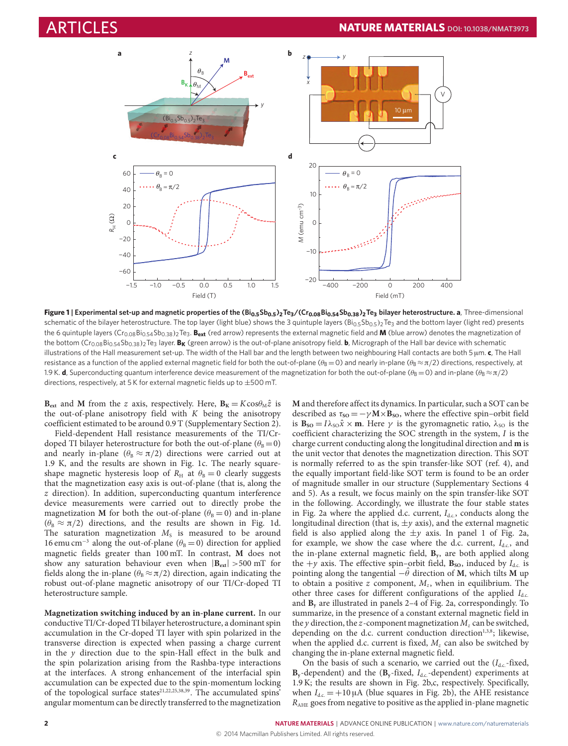

Figure 1 | Experimental set-up and magnetic properties of the (Bi<sub>0.5</sub>Sb<sub>0.5</sub>)<sub>2</sub>Te<sub>3</sub>/(Cr<sub>0.08</sub>Bi<sub>0.54</sub>Sb<sub>0.38</sub>)<sub>2</sub>Te<sub>3</sub> bilayer heterostructure. a, Three-dimensional schematic of the bilayer heterostructure. The top layer (light blue) shows the 3 quintuple layers  $(Bi_{0.5}Sb_{0.5})$   $T_{e_3}$  and the bottom layer (light red) presents the 6 quintuple layers ( $Cr_{0.08}Bi_{0.54}Sb_{0.38}$ )<sub>2</sub>Te<sub>3</sub>. B<sub>ext</sub> (red arrow) represents the external magnetic field and **M** (blue arrow) denotes the magnetization of the bottom (Cr<sub>0.08</sub>Bi<sub>0.54</sub>Sb<sub>0.38</sub>)<sub>2</sub>Te<sub>3</sub> layer. **B<sub>K</sub>** (green arrow) is the out-of-plane anisotropy field. **b**, Micrograph of the Hall bar device with schematic illustrations of the Hall measurement set-up. The width of the Hall bar and the length between two neighbouring Hall contacts are both 5 µm. **c**, The Hall resistance as a function of the applied external magnetic field for both the out-of-plane ( $\theta_B = 0$ ) and nearly in-plane ( $\theta_B \approx \pi/2$ ) directions, respectively, at 1.9 K. **d**, Superconducting quantum interference device measurement of the magnetization for both the out-of-plane ( $\theta_B = 0$ ) and in-plane ( $\theta_B \approx \pi/2$ ) directions, respectively, at 5 K for external magnetic fields up to ±500 mT.

 $\mathbf{B}_{\text{ext}}$  and **M** from the z axis, respectively. Here,  $\mathbf{B}_{\text{K}} = K \cos \theta_{\text{M}} \hat{z}$  is the out-of-plane anisotropy field with  $K$  being the anisotropy coefficient estimated to be around 0.9 T (Supplementary Section 2).

Field-dependent Hall resistance measurements of the TI/Crdoped TI bilayer heterostructure for both the out-of-plane ( $\theta_B = 0$ ) and nearly in-plane ( $\theta_B \approx \pi/2$ ) directions were carried out at 1.9 K, and the results are shown in Fig. [1c](#page-1-0). The nearly squareshape magnetic hysteresis loop of  $R_H$  at  $\theta_B = 0$  clearly suggests that the magnetization easy axis is out-of-plane (that is, along the z direction). In addition, superconducting quantum interference device measurements were carried out to directly probe the magnetization **M** for both the out-of-plane ( $\theta_B = 0$ ) and in-plane  $(\theta_B \approx \pi/2)$  directions, and the results are shown in Fig. [1d](#page-1-0). The saturation magnetization  $M<sub>s</sub>$  is measured to be around 16 emu cm<sup>-3</sup> along the out-of-plane ( $\theta_B = 0$ ) direction for applied magnetic fields greater than 100 mT. In contrast, **M** does not show any saturation behaviour even when  $|\mathbf{B}_{ext}| > 500$  mT for fields along the in-plane ( $\theta_B \approx \pi/2$ ) direction, again indicating the robust out-of-plane magnetic anisotropy of our TI/Cr-doped TI heterostructure sample.

**Magnetization switching induced by an in-plane current.** In our conductive TI/Cr-doped TI bilayer heterostructure, a dominant spin accumulation in the Cr-doped TI layer with spin polarized in the transverse direction is expected when passing a charge current in the  $y$  direction due to the spin-Hall effect in the bulk and the spin polarization arising from the Rashba-type interactions at the interfaces. A strong enhancement of the interfacial spin accumulation can be expected due to the spin-momentum locking of the topological surface states<sup>[21,](#page-5-9)[22](#page-5-20)[,25,](#page-5-12)[38](#page-5-21)[,39](#page-5-22)</sup>. The accumulated spins<sup>'</sup> angular momentum can be directly transferred to the magnetization

<span id="page-1-0"></span>**M** and therefore affect its dynamics. In particular, such a SOT can be described as  $\tau_{SO} = -\gamma M \times B_{SO}$ , where the effective spin–orbit field is **B**<sub>so</sub> =  $I\lambda$ <sub>SO</sub> $\hat{x} \times \mathbf{m}$ . Here  $\gamma$  is the gyromagnetic ratio,  $\lambda$ <sub>SO</sub> is the coefficient characterizing the SOC strength in the system, I is the charge current conducting along the longitudinal direction and **m** is the unit vector that denotes the magnetization direction. This SOT is normally referred to as the spin transfer-like SOT (ref. [4\)](#page-4-3), and the equally important field-like SOT term is found to be an order of magnitude smaller in our structure (Supplementary Sections 4 and 5). As a result, we focus mainly on the spin transfer-like SOT in the following. Accordingly, we illustrate the four stable states in Fig. [2a](#page-2-0) where the applied d.c. current,  $I_{dc}$ , conducts along the longitudinal direction (that is,  $\pm y$  axis), and the external magnetic field is also applied along the  $\pm y$  axis. In panel 1 of Fig. [2a](#page-2-0), for example, we show the case where the d.c. current,  $I_{dc}$ , and the in-plane external magnetic field, **B<sup>y</sup>** , are both applied along the  $+y$  axis. The effective spin–orbit field,  $\mathbf{B}_{\text{SO}}$ , induced by  $I_{\text{d.c.}}$  is pointing along the tangential  $-\hat{\theta}$  direction of **M**, which tilts **M** up to obtain a positive  $z$  component,  $M_z$ , when in equilibrium. The other three cases for different configurations of the applied  $I_{\text{dc}}$ . and **B<sup>y</sup>** are illustrated in panels 2–4 of Fig. [2a](#page-2-0), correspondingly. To summarize, in the presence of a constant external magnetic field in the y direction, the z-component magnetization  $M_z$  can be switched, depending on the d.c. current conduction direction<sup>[1,](#page-4-0)[3,](#page-4-1)[8](#page-5-8)</sup>; likewise, when the applied d.c. current is fixed,  $M_z$  can also be switched by changing the in-plane external magnetic field.

On the basis of such a scenario, we carried out the  $(I<sub>d.c.</sub>$ -fixed,  $B_y$ -dependent) and the ( $B_y$ -fixed,  $I_{dc}$ -dependent) experiments at 1.9 K; the results are shown in Fig. [2b](#page-2-0),c, respectively. Specifically, when  $I_{\text{dc}} = +10 \mu A$  (blue squares in Fig. [2b](#page-2-0)), the AHE resistance  $R_{\text{AHE}}$  goes from negative to positive as the applied in-plane magnetic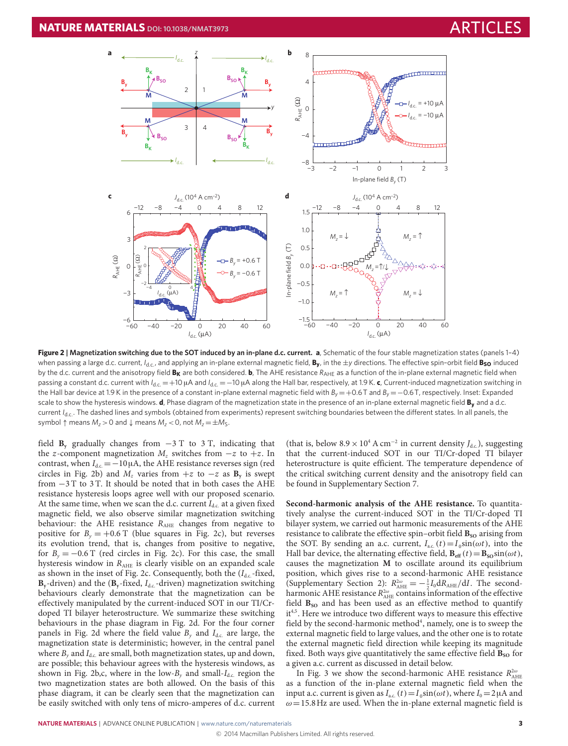

**Figure 2 | Magnetization switching due to the SOT induced by an in-plane d.c. current. a**, Schematic of the four stable magnetization states (panels 1–4) when passing a large d.c. current,  $I_{d,c}$ , and applying an in-plane external magnetic field, By, in the  $\pm$ y directions. The effective spin-orbit field Bso induced by the d.c. current and the anisotropy field B<sub>K</sub> are both considered. b, The AHE resistance  $R_{AHE}$  as a function of the in-plane external magnetic field when passing a constant d.c. current with *I*<sub>d.c.</sub> = +10 μA and *I*<sub>d.c.</sub> = −10 μA along the Hall bar, respectively, at 1.9 K. **c**, Current-induced magnetization switching in the Hall bar device at 1.9 K in the presence of a constant in-plane external magnetic field with  $B<sub>v</sub> = +0.6$  T and  $B<sub>v</sub> = -0.6$  T, respectively. Inset: Expanded scale to show the hysteresis windows. **d**, Phase diagram of the magnetization state in the presence of an in-plane external magnetic field **B<sup>y</sup>** and a d.c. current *I<sub>d.c</sub>*. The dashed lines and symbols (obtained from experiments) represent switching boundaries between the different states. In all panels, the symbol  $\uparrow$  means  $M_z > 0$  and  $\downarrow$  means  $M_z < 0$ , not  $M_z = \pm M_s$ .

field  $\mathbf{B}_v$  gradually changes from  $-3$  T to 3 T, indicating that the z-component magnetization  $M_z$  switches from  $-z$  to  $+z$ . In contrast, when  $I_{dc} = -10 \mu A$ , the AHE resistance reverses sign (red circles in Fig. [2b](#page-2-0)) and  $M_z$  varies from  $+z$  to  $-z$  as  $\mathbf{B}_y$  is swept from −3 T to 3 T. It should be noted that in both cases the AHE resistance hysteresis loops agree well with our proposed scenario. At the same time, when we scan the d.c. current  $I_{\text{dc}}$  at a given fixed magnetic field, we also observe similar magnetization switching behaviour: the AHE resistance  $R_{\text{AHE}}$  changes from negative to positive for  $B<sub>y</sub> = +0.6$  T (blue squares in Fig. [2c](#page-2-0)), but reverses its evolution trend, that is, changes from positive to negative, for  $B_y = -0.6$  T (red circles in Fig. [2c](#page-2-0)). For this case, the small hysteresis window in  $R_{\text{AHE}}$  is clearly visible on an expanded scale as shown in the inset of Fig. [2c](#page-2-0). Consequently, both the  $(I_{d,c}$ -fixed,  $B_y$ -driven) and the ( $B_y$ -fixed,  $I_{dc}$ -driven) magnetization switching behaviours clearly demonstrate that the magnetization can be effectively manipulated by the current-induced SOT in our TI/Crdoped TI bilayer heterostructure. We summarize these switching behaviours in the phase diagram in Fig. [2d](#page-2-0). For the four corner panels in Fig. [2d](#page-2-0) where the field value  $B_{\nu}$  and  $I_{\text{dc}}$  are large, the magnetization state is deterministic; however, in the central panel where  $B<sub>v</sub>$  and  $I<sub>d.c.</sub>$  are small, both magnetization states, up and down, are possible; this behaviour agrees with the hysteresis windows, as shown in Fig. [2b](#page-2-0),c, where in the low- $B_{\nu}$  and small- $I_{\text{dc}}$  region the two magnetization states are both allowed. On the basis of this phase diagram, it can be clearly seen that the magnetization can be easily switched with only tens of micro-amperes of d.c. current

<span id="page-2-0"></span>(that is, below  $8.9 \times 10^4$  A cm<sup>-2</sup> in current density  $J_{\text{d.c.}}$ ), suggesting that the current-induced SOT in our TI/Cr-doped TI bilayer heterostructure is quite efficient. The temperature dependence of the critical switching current density and the anisotropy field can be found in Supplementary Section 7.

**Second-harmonic analysis of the AHE resistance.** To quantitatively analyse the current-induced SOT in the TI/Cr-doped TI bilayer system, we carried out harmonic measurements of the AHE resistance to calibrate the effective spin-orbit field  $\mathbf{B}_{\text{SO}}$  arising from the SOT. By sending an a.c. current,  $I_{ac.}(t) = I_0 \sin(\omega t)$ , into the Hall bar device, the alternating effective field,  $\mathbf{B}_{\text{eff}}(t) = \mathbf{B}_{\text{SO}}\sin(\omega t)$ , causes the magnetization **M** to oscillate around its equilibrium position, which gives rise to a second-harmonic AHE resistance (Supplementary Section 2):  $R_{\text{AHE}}^{2\omega} = -\frac{1}{2}I_0 dR_{\text{AHE}}/dI$ . The secondharmonic AHE resistance  $R_{\text{AHE}}^{2\omega}$  contains information of the effective field  $B_{so}$  and has been used as an effective method to quantify it<sup>[4,](#page-4-3)[5](#page-4-4)</sup>. Here we introduce two different ways to measure this effective field by the second-harmonic method<sup>[4](#page-4-3)</sup>, namely, one is to sweep the external magnetic field to large values, and the other one is to rotate the external magnetic field direction while keeping its magnitude fixed. Both ways give quantitatively the same effective field  $\mathbf{B}_{\text{SO}}$  for a given a.c. current as discussed in detail below.

In Fig. [3](#page-3-0) we show the second-harmonic AHE resistance  $R_{\text{AHE}}^{2\omega}$ as a function of the in-plane external magnetic field when the input a.c. current is given as  $I_{ac.}(t) = I_0 \sin(\omega t)$ , where  $I_0 = 2\mu A$  and  $\omega$  = 15.8 Hz are used. When the in-plane external magnetic field is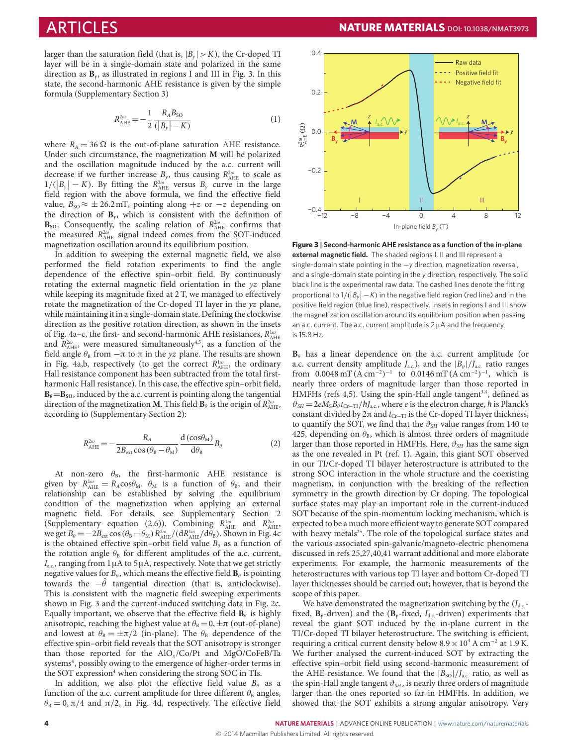larger than the saturation field (that is,  $|B_y| > K$ ), the Cr-doped TI layer will be in a single-domain state and polarized in the same direction as **B<sup>y</sup>** , as illustrated in regions I and III in Fig. [3.](#page-3-0) In this state, the second-harmonic AHE resistance is given by the simple formula (Supplementary Section 3)

$$
R_{\text{AHE}}^{2\omega} = -\frac{1}{2} \frac{R_{A} B_{\text{SO}}}{(|B_{y}| - K)}
$$
(1)

where  $R_A = 36 \Omega$  is the out-of-plane saturation AHE resistance. Under such circumstance, the magnetization **M** will be polarized and the oscillation magnitude induced by the a.c. current will decrease if we further increase  $B_y$ , thus causing  $R_{\text{AHE}}^{2\omega}$  to scale as  $1/(|B_y| - K)$ . By fitting the  $R_{\text{AHE}}^{2\omega}$  versus  $B_y$  curve in the large field region with the above formula, we find the effective field value,  $B_{\text{SO}} \approx \pm 26.2 \text{ mT}$ , pointing along  $+z$  or  $-z$  depending on the direction of **B<sup>y</sup>** , which is consistent with the definition of  $\mathbf{B}_{\text{so}}$ . Consequently, the scaling relation of  $R_{\text{AHE}}^{2\omega}$  confirms that the measured  $R_{\text{AHE}}^{2\omega}$  signal indeed comes from the SOT-induced magnetization oscillation around its equilibrium position.

In addition to sweeping the external magnetic field, we also performed the field rotation experiments to find the angle dependence of the effective spin–orbit field. By continuously rotating the external magnetic field orientation in the yz plane while keeping its magnitude fixed at 2 T, we managed to effectively rotate the magnetization of the Cr-doped TI layer in the yz plane, while maintaining it in a single-domain state. Defining the clockwise direction as the positive rotation direction, as shown in the insets of Fig. [4a](#page-4-5)–c, the first- and second-harmonic AHE resistances,  $R_{\rm AHE}^{\rm 1\omega}$ and  $R_{\text{AHE}}^{2\omega}$ , were measured simultaneously<sup>[4,](#page-4-3)[5](#page-4-4)</sup>, as a function of the field angle  $\theta_B$  from  $-\pi$  to  $\pi$  in the yz plane. The results are shown in Fig. [4a](#page-4-5),b, respectively (to get the correct  $R_{\text{AHE}}^{1\omega}$ , the ordinary Hall resistance component has been subtracted from the total firstharmonic Hall resistance). In this case, the effective spin–orbit field,  $B_{\theta} = B_{\text{SO}}$ , induced by the a.c. current is pointing along the tangential direction of the magnetization **M**. This field  $\mathbf{B}_{\theta}$  is the origin of  $R_{\text{AHE}}^{2\omega}$ , according to (Supplementary Section 2):

$$
R_{\text{AHE}}^{2\omega} = -\frac{R_{\text{A}}}{2B_{\text{ext}}\cos\left(\theta_{\text{B}} - \theta_{\text{M}}\right)}\frac{\text{d}\left(\cos\theta_{\text{M}}\right)}{\text{d}\theta_{\text{B}}}B_{\theta} \tag{2}
$$

At non-zero  $\theta_B$ , the first-harmonic AHE resistance is given by  $R_{\text{AHE}}^{1\omega} = R_A \cos \theta_M$ .  $\theta_M$  is a function of  $\theta_B$ , and their relationship can be established by solving the equilibrium condition of the magnetization when applying an external magnetic field. For details, see Supplementary Section 2 (Supplementary equation (2.6)). Combining  $R_{\text{AHE}}^{1\omega}$  and  $R_{\text{AHE}}^{2\omega}$ we get  $B_\theta = -2B_{ext} \cos(\theta_B - \theta_M) R_{AHE}^{2\omega}/(dR_{AHE}^{1\omega}/d\theta_B)$ . Shown in Fig. [4c](#page-4-5) is the obtained effective spin–orbit field value  $B_{\theta}$  as a function of the rotation angle  $\theta_B$  for different amplitudes of the a.c. current,  $I_{\text{a.c.}}$ , ranging from 1 µA to 5 µA, respectively. Note that we get strictly negative values for  $B_\theta$ , which means the effective field  $\mathbf{B}_\theta$  is pointing towards the  $-\theta$  tangential direction (that is, anticlockwise). This is consistent with the magnetic field sweeping experiments shown in Fig. [3](#page-3-0) and the current-induced switching data in Fig. [2c](#page-2-0). Equally important, we observe that the effective field  $\mathbf{B}_{\theta}$  is highly anisotropic, reaching the highest value at  $\theta_B = 0, \pm \pi$  (out-of-plane) and lowest at  $\theta_B = \pm \pi/2$  (in-plane). The  $\theta_B$  dependence of the effective spin–orbit field reveals that the SOT anisotropy is stronger than those reported for the  $AIO_x/Co/Pt$  and  $MgO/CoFeB/Ta$ systems<sup>[4](#page-4-3)</sup>, possibly owing to the emergence of higher-order terms in the SOT expression<sup>[4](#page-4-3)</sup> when considering the strong SOC in TIs.

In addition, we also plot the effective field value  $B_{\theta}$  as a function of the a.c. current amplitude for three different  $\theta_B$  angles,  $\theta_B = 0$ ,  $\pi/4$  and  $\pi/2$ , in Fig. [4d](#page-4-5), respectively. The effective field



<span id="page-3-0"></span>**Figure 3 | Second-harmonic AHE resistance as a function of the in-plane external magnetic field.** The shaded regions I, II and III represent a single-domain state pointing in the −*y* direction, magnetization reversal, and a single-domain state pointing in the *y* direction, respectively. The solid black line is the experimental raw data. The dashed lines denote the fitting proportional to  $1/(|B_y|-K)$  in the negative field region (red line) and in the positive field region (blue line), respectively. Insets in regions I and III show the magnetization oscillation around its equilibrium position when passing an a.c. current. The a.c. current amplitude is  $2 \mu A$  and the frequency is 15.8 Hz.

 $B_{\theta}$  has a linear dependence on the a.c. current amplitude (or a.c. current density amplitude  $J_{\text{a.c.}}$ ), and the  $|B_{\theta}|/J_{\text{a.c.}}$  ratio ranges from 0.0048 mT  $(A \text{ cm}^{-2})^{-1}$  to 0.0146 mT  $(A \text{ cm}^{-2})^{-1}$ , which is nearly three orders of magnitude larger than those reported in HMFHs (refs [4](#page-4-3)[,5\)](#page-4-4). Using the spin-Hall angle tangent<sup>[3](#page-4-1)[,4](#page-4-3)</sup>, defined as  $\vartheta_{\text{SH}} = 2eM_{\text{S}}B_{\theta}t_{\text{Cr-TI}}/\hbar J_{\text{a.c.}}$ , where *e* is the electron charge,  $\hbar$  is Planck's constant divided by  $2\pi$  and  $t_{Cr-TI}$  is the Cr-doped TI layer thickness, to quantify the SOT, we find that the  $\vartheta_{SH}$  value ranges from 140 to 425, depending on  $\theta_B$ , which is almost three orders of magnitude larger than those reported in HMFHs. Here,  $\vartheta_{SH}$  has the same sign as the one revealed in Pt (ref. [1\)](#page-4-0). Again, this giant SOT observed in our TI/Cr-doped TI bilayer heterostructure is attributed to the strong SOC interaction in the whole structure and the coexisting magnetism, in conjunction with the breaking of the reflection symmetry in the growth direction by Cr doping. The topological surface states may play an important role in the current-induced SOT because of the spin-momentum locking mechanism, which is expected to be a much more efficient way to generate SOT compared with heavy metals<sup>[25](#page-5-12)</sup>. The role of the topological surface states and the various associated spin-galvanic/magneto-electric phenomena discussed in refs [25,](#page-5-12)[27,](#page-5-13)[40,](#page-5-23)[41](#page-5-24) warrant additional and more elaborate experiments. For example, the harmonic measurements of the heterostructures with various top TI layer and bottom Cr-doped TI layer thicknesses should be carried out; however, that is beyond the scope of this paper.

We have demonstrated the magnetization switching by the  $(I_{\text{dc}}-I_{\text{dc}})$ fixed,  $\mathbf{B}_v$ -driven) and the  $(\mathbf{B}_v$ -fixed,  $I_{\text{dc}}$ -driven) experiments that reveal the giant SOT induced by the in-plane current in the TI/Cr-doped TI bilayer heterostructure. The switching is efficient, requiring a critical current density below  $8.9 \times 10^4$  A cm<sup>-2</sup> at 1.9 K. We further analysed the current-induced SOT by extracting the effective spin–orbit field using second-harmonic measurement of the AHE resistance. We found that the  $|B_{SO}|/J_{ac}$  ratio, as well as the spin-Hall angle tangent  $\vartheta_{SH}$ , is nearly three orders of magnitude larger than the ones reported so far in HMFHs. In addition, we showed that the SOT exhibits a strong angular anisotropy. Very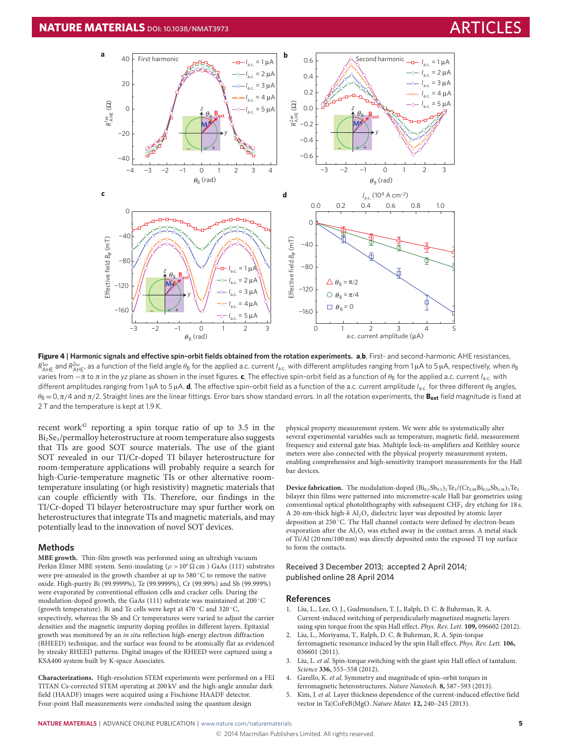

Figure 4 | Harmonic signals and effective spin-orbit fields obtained from the rotation experiments. a,b, First- and second-harmonic AHE resistances,  $R^{1\omega}_{\rm AHE}$  and  $R^{2\omega}_{\rm AHE}$ , as a function of the field angle  $\theta_{\rm B}$  for the applied a.c. current *I*<sub>a.c.</sub> with different amplitudes ranging from 1 μA to 5 μA, respectively, when  $\theta_{\rm B}$ varies from -π to π in the *yz* plane as shown in the inset figures. **c**, The effective spin-orbit field as a function of θ<sub>B</sub> for the applied a.c. current *I*<sub>a.c.</sub> with different amplitudes ranging from 1μA to 5μA. **d**, The effective spin-orbit field as a function of the a.c. current amplitude *I<sub>a.c.</sub>* for three different θ<sub>B</sub> angles,  $\theta_B = 0$ ,  $\pi/4$  and  $\pi/2$ . Straight lines are the linear fittings. Error bars show standard errors. In all the rotation experiments, the  $B_{ext}$  field magnitude is fixed at 2 T and the temperature is kept at 1.9 K.

recent work<sup>[42](#page-5-25)</sup> reporting a spin torque ratio of up to 3.5 in the  $Bi<sub>2</sub>Se<sub>3</sub>/permally heterostructure at room temperature also suggests$ that TIs are good SOT source materials. The use of the giant SOT revealed in our TI/Cr-doped TI bilayer heterostructure for room-temperature applications will probably require a search for high-Curie-temperature magnetic TIs or other alternative roomtemperature insulating (or high resistivity) magnetic materials that can couple efficiently with TIs. Therefore, our findings in the TI/Cr-doped TI bilayer heterostructure may spur further work on heterostructures that integrate TIs and magnetic materials, and may potentially lead to the innovation of novel SOT devices.

### **Methods**

**MBE growth.** Thin-film growth was performed using an ultrahigh vacuum Perkin Elmer MBE system. Semi-insulating ( $\rho > 10^6 \Omega$  cm) GaAs (111) substrates were pre-annealed in the growth chamber at up to 580 °C to remove the native oxide. High-purity Bi (99.9999%), Te (99.9999%), Cr (99.99%) and Sb (99.999%) were evaporated by conventional effusion cells and cracker cells. During the modulation-doped growth, the GaAs (111) substrate was maintained at 200  $^{\circ}\mathrm{C}$ (growth temperature). Bi and Te cells were kept at 470 ◦C and 320 ◦C, respectively, whereas the Sb and Cr temperatures were varied to adjust the carrier densities and the magnetic impurity doping profiles in different layers. Epitaxial growth was monitored by an in situ reflection high-energy electron diffraction (RHEED) technique, and the surface was found to be atomically flat as evidenced by streaky RHEED patterns. Digital images of the RHEED were captured using a KSA400 system built by K-space Associates.

**Characterizations.** High-resolution STEM experiments were performed on a FEI TITAN Cs-corrected STEM operating at 200 kV and the high-angle annular dark field (HAADF) images were acquired using a Fischione HAADF detector. Four-point Hall measurements were conducted using the quantum design

<span id="page-4-5"></span>physical property measurement system. We were able to systematically alter several experimental variables such as temperature, magnetic field, measurement frequency and external gate bias. Multiple lock-in-amplifiers and Keithley source meters were also connected with the physical property measurement system, enabling comprehensive and high-sensitivity transport measurements for the Hall bar devices.

**Device fabrication.** The modulation-doped  $(Bi_{0.5}Sb_{0.5})_2Te_3/(Cr_{0.08}Bi_{0.54}Sb_{0.38})_2Te_3$ bilayer thin films were patterned into micrometre-scale Hall bar geometries using conventional optical photolithography with subsequent CHF<sub>3</sub> dry etching for 18 s. A 20-nm-thick high- $k$  Al<sub>2</sub>O<sub>3</sub> dielectric layer was deposited by atomic layer deposition at 250 ◦C. The Hall channel contacts were defined by electron-beam evaporation after the  $Al_2O_3$  was etched away in the contact areas. A metal stack of Ti/Al (20 nm/100 nm) was directly deposited onto the exposed TI top surface to form the contacts.

#### Received 3 December 2013; accepted 2 April 2014; published online 28 April 2014

### **References**

- <span id="page-4-0"></span>1. Liu, L., Lee, O. J., Gudmundsen, T. J., Ralph, D. C. & Buhrman, R. A. Current-induced switching of perpendicularly magnetized magnetic layers using spin torque from the spin Hall effect. Phys. Rev. Lett. **109,** 096602 (2012).
- <span id="page-4-2"></span>2. Liu, L., Moriyama, T., Ralph, D. C. & Buhrman, R. A. Spin-torque ferromagnetic resonance induced by the spin Hall effect. Phys. Rev. Lett. **106,** 036601 (2011).
- <span id="page-4-1"></span>3. Liu, L. et al. Spin-torque switching with the giant spin Hall effect of tantalum. Science **336,** 555–558 (2012).
- <span id="page-4-3"></span>4. Garello, K. et al. Symmetry and magnitude of spin–orbit torques in ferromagnetic heterostructures. Nature Nanotech. **8,** 587–593 (2013).
- <span id="page-4-4"></span>5. Kim, J. et al. Layer thickness dependence of the current-induced effective field vector in Ta|CoFeB|MgO. Nature Mater. **12,** 240–245 (2013).